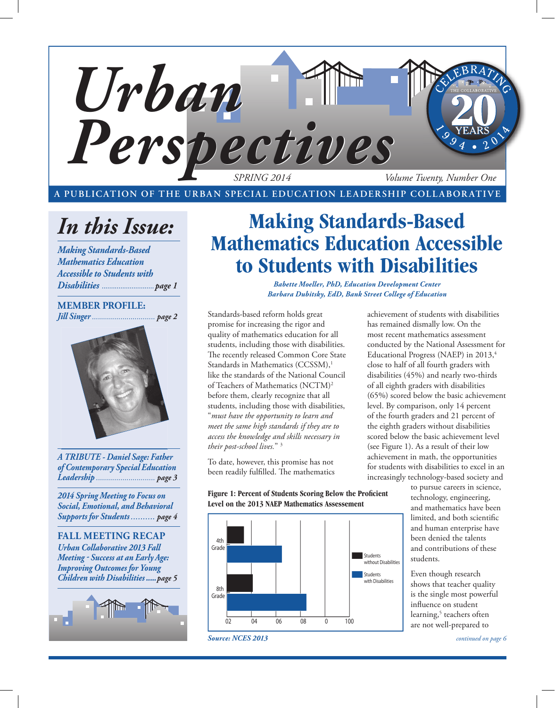

**A PUBLICATION OF THE URBAN SPECIAL EDUCATION LEADERSHIP COLLABORATIVE**

# *In this Issue:*

*Making Standards-Based Mathematics Education Accessible to Students with Disabilities ............................page 1*

## **MEMBER PROFILE:** *Jill Singer ............................... page 2*



*A TRIBUTE - Daniel Sage: Father of Contemporary Special Education Leadership ............................. page 3*

*2014 Spring Meeting to Focus on Social, Emotional, and Behavioral Supports for Students .......... page 4*

**FALL MEETING RECAP** *Urban Collaborative 2013 Fall Meeting - Success at an Early Age: Improving Outcomes for Young Children with Disabilities .....page 5*



## **Making Standards-Based Mathematics Education Accessible to Students with Disabilities**

*Babette Moeller, PhD, Education Development Center Barbara Dubitsky, EdD, Bank Street College of Education*

Standards-based reform holds great promise for increasing the rigor and quality of mathematics education for all students, including those with disabilities. The recently released Common Core State Standards in Mathematics (CCSSM),<sup>1</sup> like the standards of the National Council of Teachers of Mathematics (NCTM)2 before them, clearly recognize that all students, including those with disabilities, "*must have the opportunity to learn and meet the same high standards if they are to access the knowledge and skills necessary in their post-school lives.*" 3

To date, however, this promise has not been readily fulfilled. The mathematics

Figure 1: Percent of Students Scoring Below the Proficient **Level on the 2013 NAEP Mathematics Assessement**



achievement of students with disabilities has remained dismally low. On the most recent mathematics assessment conducted by the National Assessment for Educational Progress (NAEP) in 2013,<sup>4</sup> close to half of all fourth graders with disabilities (45%) and nearly two-thirds of all eighth graders with disabilities (65%) scored below the basic achievement level. By comparison, only 14 percent of the fourth graders and 21 percent of the eighth graders without disabilities scored below the basic achievement level (see Figure 1). As a result of their low achievement in math, the opportunities for students with disabilities to excel in an increasingly technology-based society and

> to pursue careers in science, technology, engineering, and mathematics have been limited, and both scientific and human enterprise have been denied the talents and contributions of these students.

Even though research shows that teacher quality is the single most powerful influence on student learning,<sup>5</sup> teachers often are not well-prepared to

*continued on page 6*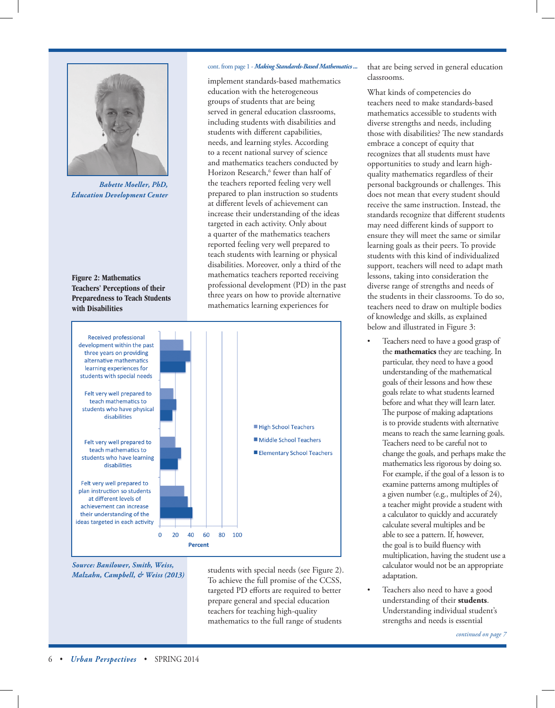

*Babette Moeller, PhD, Education Development Center*

**Figure 2: Mathematics Teachers' Perceptions of their Preparedness to Teach Students with Disabilities**

### cont. from page 1 - *Making Standards-Based Mathematics ...*

implement standards-based mathematics education with the heterogeneous groups of students that are being served in general education classrooms, including students with disabilities and students with different capabilities, needs, and learning styles. According to a recent national survey of science and mathematics teachers conducted by Horizon Research,<sup>6</sup> fewer than half of the teachers reported feeling very well prepared to plan instruction so students at different levels of achievement can increase their understanding of the ideas targeted in each activity. Only about a quarter of the mathematics teachers reported feeling very well prepared to teach students with learning or physical disabilities. Moreover, only a third of the mathematics teachers reported receiving professional development (PD) in the past three years on how to provide alternative mathematics learning experiences for



*Source: Banilower, Smith, Weiss, Malzahn, Campbell, & Weiss (2013)*

students with special needs (see Figure 2). To achieve the full promise of the CCSS, targeted PD efforts are required to better prepare general and special education teachers for teaching high-quality mathematics to the full range of students

that are being served in general education classrooms.

What kinds of competencies do teachers need to make standards-based mathematics accessible to students with diverse strengths and needs, including those with disabilities? The new standards embrace a concept of equity that recognizes that all students must have opportunities to study and learn highquality mathematics regardless of their personal backgrounds or challenges. This does not mean that every student should receive the same instruction. Instead, the standards recognize that different students may need different kinds of support to ensure they will meet the same or similar learning goals as their peers. To provide students with this kind of individualized support, teachers will need to adapt math lessons, taking into consideration the diverse range of strengths and needs of the students in their classrooms. To do so, teachers need to draw on multiple bodies of knowledge and skills, as explained below and illustrated in Figure 3:

- Teachers need to have a good grasp of the **mathematics** they are teaching. In particular, they need to have a good understanding of the mathematical goals of their lessons and how these goals relate to what students learned before and what they will learn later. The purpose of making adaptations is to provide students with alternative means to reach the same learning goals. Teachers need to be careful not to change the goals, and perhaps make the mathematics less rigorous by doing so. For example, if the goal of a lesson is to examine patterns among multiples of a given number (e.g., multiples of 24), a teacher might provide a student with a calculator to quickly and accurately calculate several multiples and be able to see a pattern. If, however, the goal is to build fluency with multiplication, having the student use a calculator would not be an appropriate adaptation.
- Teachers also need to have a good understanding of their **students**. Understanding individual student's strengths and needs is essential

*continued on page 7*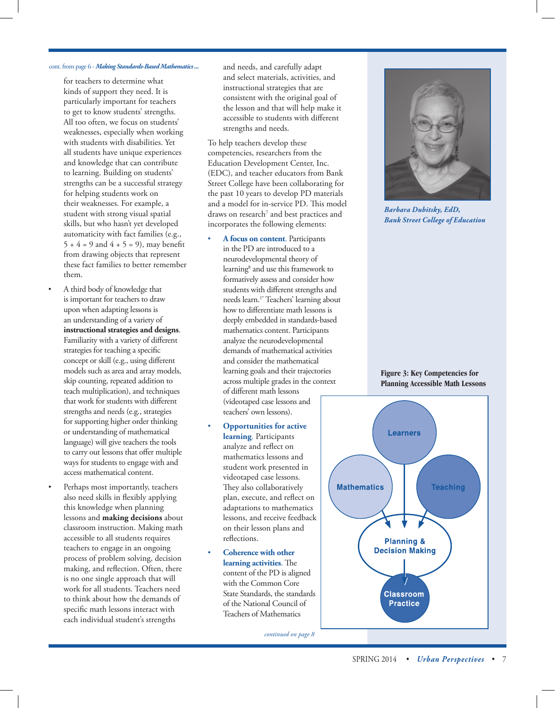## cont. from page 6 - *Making Standards-Based Mathematics ...*

for teachers to determine what kinds of support they need. It is particularly important for teachers to get to know students' strengths. All too often, we focus on students' weaknesses, especially when working with students with disabilities. Yet all students have unique experiences and knowledge that can contribute to learning. Building on students' strengths can be a successful strategy for helping students work on their weaknesses. For example, a student with strong visual spatial skills, but who hasn't yet developed automaticity with fact families (e.g.,  $5 + 4 = 9$  and  $4 + 5 = 9$ ), may benefit from drawing objects that represent these fact families to better remember them.

- A third body of knowledge that is important for teachers to draw upon when adapting lessons is an understanding of a variety of **instructional strategies and designs**. Familiarity with a variety of different strategies for teaching a specific concept or skill (e.g., using different models such as area and array models, skip counting, repeated addition to teach multiplication), and techniques that work for students with different strengths and needs (e.g., strategies for supporting higher order thinking or understanding of mathematical language) will give teachers the tools to carry out lessons that offer multiple ways for students to engage with and access mathematical content.
- Perhaps most importantly, teachers also need skills in flexibly applying this knowledge when planning lessons and **making decisions** about classroom instruction. Making math accessible to all students requires teachers to engage in an ongoing process of problem solving, decision making, and reflection. Often, there is no one single approach that will work for all students. Teachers need to think about how the demands of specific math lessons interact with each individual student's strengths

and needs, and carefully adapt and select materials, activities, and instructional strategies that are consistent with the original goal of the lesson and that will help make it accessible to students with different strengths and needs.

To help teachers develop these competencies, researchers from the Education Development Center, Inc. (EDC), and teacher educators from Bank Street College have been collaborating for the past 10 years to develop PD materials and a model for in-service PD. This model draws on research<sup>7</sup> and best practices and incorporates the following elements:

- **A focus on content**. Participants in the PD are introduced to a neurodevelopmental theory of learning<sup>8</sup> and use this framework to formatively assess and consider how students with different strengths and needs learn.1\* Teachers' learning about how to differentiate math lessons is deeply embedded in standards-based mathematics content. Participants analyze the neurodevelopmental demands of mathematical activities and consider the mathematical learning goals and their trajectories across multiple grades in the context of different math lessons (videotaped case lessons and teachers' own lessons).
- **Opportunities for active learning**. Participants analyze and reflect on mathematics lessons and student work presented in videotaped case lessons. They also collaboratively plan, execute, and reflect on adaptations to mathematics lessons, and receive feedback on their lesson plans and reflections.
- **Coherence with other learning activities**. The content of the PD is aligned with the Common Core State Standards, the standards of the National Council of Teachers of Mathematics

*continued on page 8*



*Barbara Dubitsky, EdD, Bank Street College of Education*

### **Figure 3: Key Competencies for Planning Accessible Math Lessons**